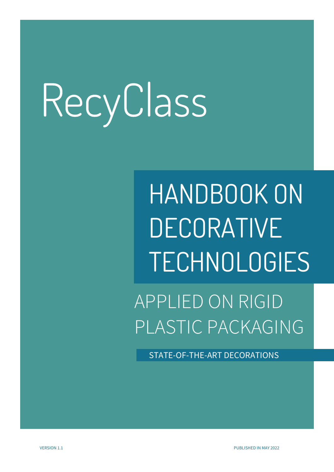HANDBOOK ON DECORATIVE TECHNOLOGIES

APPLIED ON RIGID PLASTIC PACKAGING

STATE-OF-THE-ART DECORATIONS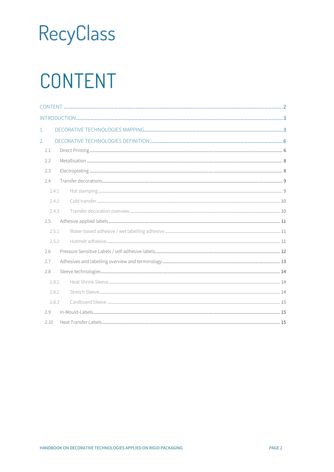### <span id="page-1-0"></span>CONTENT

| 1.   |       |  |  |  |
|------|-------|--|--|--|
| 2.   |       |  |  |  |
| 2.1  |       |  |  |  |
| 2.2  |       |  |  |  |
| 2.3  |       |  |  |  |
| 2.4  |       |  |  |  |
|      | 2.4.1 |  |  |  |
|      | 2.4.2 |  |  |  |
|      | 2.4.3 |  |  |  |
| 2.5  |       |  |  |  |
|      | 2.5.1 |  |  |  |
|      | 2.5.2 |  |  |  |
| 2.6  |       |  |  |  |
| 2.7  |       |  |  |  |
| 2.8  |       |  |  |  |
|      | 2.8.1 |  |  |  |
|      | 2.8.2 |  |  |  |
|      | 2.8.3 |  |  |  |
| 2.9  |       |  |  |  |
| 2.10 |       |  |  |  |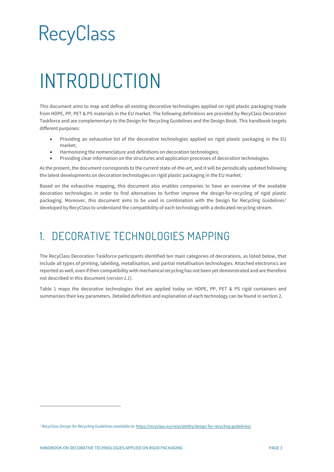### <span id="page-2-0"></span>INTRODUCTION

This document aims to map and define all existing decorative technologies applied on rigid plastic packaging made from HDPE, PP, PET & PS materials in the EU market. The following definitions are provided by RecyClass Decoration Taskforce and are complementary to the Design for Recycling Guidelines and the Design Book. This handbook targets different purposes:

- Providing an exhaustive list of the decorative technologies applied on rigid plastic packaging in the EU market;
- Harmonizing the nomenclature and definitions on decoration technologies;
- Providing clear information on the structures and application processes of decoration technologies.

As the present, the document corresponds to the current state-of-the-art, and it will be periodically updated following the latest developments on decoration technologies on rigid plastic packaging in the EU market.

Based on the exhaustive mapping, this document also enables companies to have an overview of the available decoration technologies in order to find alternatives to further improve the design-for-recycling of rigid plastic packaging. Moreover, this document aims to be used in combination with the Design for Recycling Guidelines<sup>[1](#page-2-2)</sup> developed by RecyClass to understand the compatibility of each technology with a dedicated recycling stream.

### <span id="page-2-1"></span>1. DECORATIVE TECHNOLOGIES MAPPING

The RecyClass Decoration Taskforce participants identified ten main categories of decorations, as listed below, that include all types of printing, labelling, metallisation, and partial metallisation technologies. Attached electronics are reported as well, even if their compatibility with mechanical recycling has not been yet demonstrated and are therefore not described in this document (*version 1.1*).

Table 1 maps the decorative technologies that are applied today on HDPE, PP, PET & PS rigid containers and summarizes their key parameters. Detailed definition and explanation of each technology can be found in section 2.

<span id="page-2-2"></span>*<sup>1</sup> RecyClass Design for Recycling Guidelines available at:* <https://recyclass.eu/recyclability/design-for-recycling-guidelines/>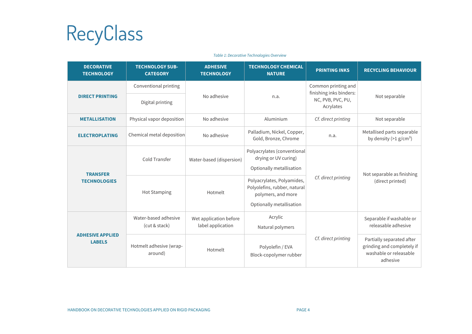

#### **DECORATIVE TECHNOLOGY TECHNOLOGY SUB-CATEGORY ADHESIVE TECHNOLOGY TECHNOLOGY CHEMICAL NATURE PRINTING INKS RECYCLING BEHAVIOUR DIRECT PRINTING** Conventional printing No adhesive n.a. Common printing and finishing inks binders: NC, PVB, PVC, PU, Acrylates Not separable Digital printing **METALLISATION** Physical vapor deposition No adhesive Aluminium *Cf. direct printing* Not separable **ELECTROPLATING** Chemical metal deposition No adhesive Palladium, Nickel, Copper, n.a. Metallised parts separable by density  $(>1 \text{ g/cm}^3)$ **TRANSFER TECHNOLOGIES** Cold Transfer Water-based (dispersion) Polyacrylates (conventional drying or UV curing) Optionally metallisation *Cf. direct printing* Not separable as finishing (direct printed) Hot Stamping | Hotmelt Polyacrylates, Polyamides, Polyolefins, rubber, natural polymers, and more Optionally metallisation **ADHESIVE APPLIED LABELS** Water-based adhesive (cut & stack) Wet application before label application Acrylic Natural polymers *Cf. direct printing* Separable if washable or releasable adhesive Hotmelt adhesive (wraparound) Folyolefin / EVA<br>around) Folyolefin Hotmelt Polyolefin / EVA<br>Block-copolymer rubber Partially separated after grinding and completely if washable or releasable adhesive

*Table 1: Decorative Technologies Overview*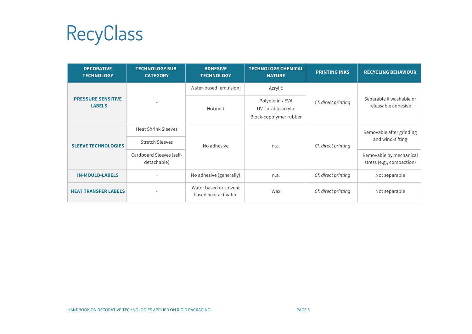RecyClass

| <b>DECORATIVE</b><br><b>TECHNOLOGY</b>     | <b>TECHNOLOGY SUB-</b><br><b>CATEGORY</b> | <b>ADHESIVE</b><br><b>TECHNOLOGY</b>           | <b>TECHNOLOGY CHEMICAL</b><br><b>NATURE</b>                      | <b>PRINTING INKS</b> | <b>RECYCLING BEHAVIOUR</b>                           |
|--------------------------------------------|-------------------------------------------|------------------------------------------------|------------------------------------------------------------------|----------------------|------------------------------------------------------|
|                                            |                                           | Water-based (emulsion)                         | Acrylic                                                          |                      | Separable if washable or<br>releasable adhesive      |
| <b>PRESSURE SENSITIVE</b><br><b>LABELS</b> |                                           | Hotmelt                                        | Polyolefin / EVA<br>UV-curable acrylic<br>Block-copolymer rubber | Cf. direct printing  |                                                      |
|                                            | <b>Heat Shrink Sleeves</b>                | No adhesive                                    | n.a.                                                             | Cf. direct printing  | Removable after grinding<br>and wind-sifting         |
| <b>SLEEVE TECHNOLOGIES</b>                 | <b>Stretch Sleeves</b>                    |                                                |                                                                  |                      |                                                      |
|                                            | Cardboard Sleeves (self-<br>detachable)   |                                                |                                                                  |                      | Removable by mechanical<br>stress (e.g., compaction) |
| <b>IN-MOULD-LABELS</b>                     |                                           | No adhesive (generally)                        | n.a.                                                             | Cf. direct printing  | Not separable                                        |
| <b>HEAT TRANSFER LABELS</b>                |                                           | Water based or solvent<br>based heat activated | Wax                                                              | Cf. direct printing  | Not separable                                        |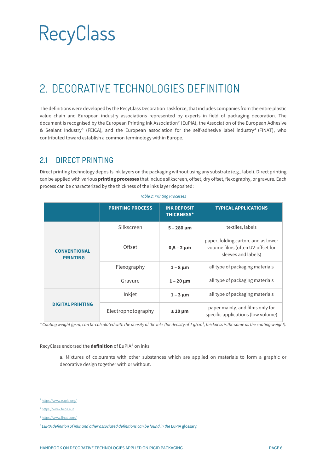### <span id="page-5-0"></span>2. DECORATIVE TECHNOLOGIES DEFINITION

The definitions were developed by the RecyClass Decoration Taskforce, that includes companies from the entire plastic value chain and European industry associations represented by experts in field of packaging decoration. The document is recognised by the European Printing Ink Association $^2$  $^2$  (EuPIA), the Association of the European Adhesive & Sealant Industry<sup>[3](#page-5-3)</sup> (FEICA), and the European association for the self-adhesive label industry<sup>[4](#page-5-4)</sup> (FINAT), who contributed toward establish a common terminology within Europe.

#### <span id="page-5-1"></span>2.1 DIRECT PRINTING

Direct printing technology deposits ink layers on the packaging without using any substrate (e.g., label). Direct printing can be applied with various **printing processes** that include silkscreen, offset, dry offset, flexography, or gravure. Each process can be characterized by the thickness of the inks layer deposited:

|                                        | <b>PRINTING PROCESS</b> | <b>INK DEPOSIT</b><br><b>THICKNESS*</b>                                                                            | <b>TYPICAL APPLICATIONS</b>                                            |
|----------------------------------------|-------------------------|--------------------------------------------------------------------------------------------------------------------|------------------------------------------------------------------------|
|                                        | Silkscreen              | $5 - 280 \mu m$                                                                                                    | textiles, labels                                                       |
| <b>CONVENTIONAL</b><br><b>PRINTING</b> | Offset                  | paper, folding carton, and as lower<br>volume films (often UV-offset for<br>$0,5 - 2 \mu m$<br>sleeves and labels) |                                                                        |
|                                        | Flexography             | $1 - 8 \mu m$                                                                                                      | all type of packaging materials                                        |
|                                        | Gravure                 | $1 - 20 \mu m$                                                                                                     | all type of packaging materials                                        |
|                                        | Inkjet                  | $1 - 3 \mu m$                                                                                                      | all type of packaging materials                                        |
| <b>DIGITAL PRINTING</b>                | Electrophotography      | $±10 \mu m$                                                                                                        | paper mainly, and films only for<br>specific applications (low volume) |

*Table 2: Printing Processes*

*\* Coating weight (gsm) can be calculated with the density of the inks (for density of 1 g/cm³, thickness is the same as the coating weight).* 

RecyClass endorsed the **definition** of EuPIA<sup>[5](#page-5-5)</sup> on inks:

a. Mixtures of colourants with other substances which are applied on materials to form a graphic or decorative design together with or without.

<span id="page-5-2"></span>*<sup>2</sup>* <https://www.eupia.org/>

<span id="page-5-3"></span>*<sup>3</sup>* <https://www.feica.eu/>

<span id="page-5-4"></span>*<sup>4</sup>* <https://www.finat.com/>

<span id="page-5-5"></span>*<sup>5</sup> EuPIA definition of inks and other associated definitions can be found in the* [EuPIA glossary](https://www.eupia.org/fileadmin/user_upload/181031_Standard_Glossary_of_Food_Contact_Material_Inks_and_Coatings_Terms.pdf)*.*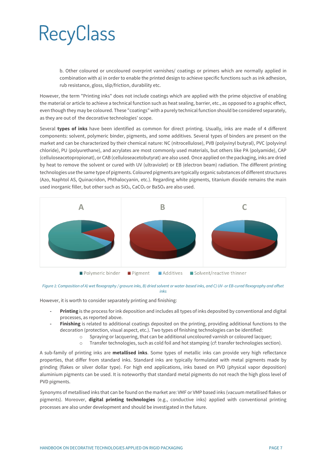b. Other coloured or uncoloured overprint varnishes/ coatings or primers which are normally applied in combination with a) in order to enable the printed design to achieve specific functions such as ink adhesion, rub resistance, gloss, slip/friction, durability etc.

However, the term "Printing inks" does not include coatings which are applied with the prime objective of enabling the material or article to achieve a technical function such as heat sealing, barrier, etc., as opposed to a graphic effect, even though they may be coloured. These "coatings" with a purely technical function should be considered separately, as they are out of the decorative technologies' scope.

Several **types of inks** have been identified as common for direct printing. Usually, inks are made of 4 different components: solvent, polymeric binder, pigments, and some additives. Several types of binders are present on the market and can be characterized by their chemical nature: NC (nitrocellulose), PVB (polyvinyl butyral), PVC (polyvinyl chloride), PU (polyurethane), and acrylates are most commonly used materials, but others like PA (polyamide), CAP (celluloseacetopropionat), or CAB (celluloseacetobutyrat) are also used. Once applied on the packaging, inks are dried by heat to remove the solvent or cured with UV (ultraviolet) or EB (electron beam) radiation. The different printing technologies use the same type of pigments. Coloured pigments are typically organic substances of different structures (Azo, Naphtol AS, Quinacridon, Phthalocyanin, etc.). Regarding white pigments, titanium dioxide remains the main used inorganic filler, but other such as SiO<sub>2</sub>, CaCO<sub>3</sub> or BaSO<sub>4</sub> are also used.



*Figure 1: Composition of A) wet flexography / gravure inks, B) dried solvent or water-based inks, and C) UV- or EB-cured flexography and offset inks*

However, it is worth to consider separately printing and finishing:

- **- Printing** is the process for ink deposition and includes all types of inks deposited by conventional and digital processes, as reported above.
- **- Finishing** is related to additional coatings deposited on the printing, providing additional functions to the decoration (protection, visual aspect, etc.). Two types of finishing technologies can be identified:
	- $\circ$  Spraying or lacquering, that can be additional uncoloured varnish or coloured lacquer;<br> $\circ$  Transfer technologies, such as cold foil and hot stamping (cf: transfer technologies sect
	- Transfer technologies, such as cold foil and hot stamping (*cf*: transfer technologies section).

A sub-family of printing inks are **metallised inks**. Some types of metallic inks can provide very high reflectance properties, that differ from standard inks. Standard inks are typically formulated with metal pigments made by grinding (flakes or silver dollar type). For high end applications, inks based on PVD (physical vapor deposition) aluminium pigments can be used. It is noteworthy that standard metal pigments do not reach the high gloss level of PVD pigments.

Synonyms of metallised inks that can be found on the market are: VMF or VMP based inks (vacuum metallised flakes or pigments). Moreover, **digital printing technologies** (e.g., conductive inks) applied with conventional printing processes are also under development and should be investigated in the future.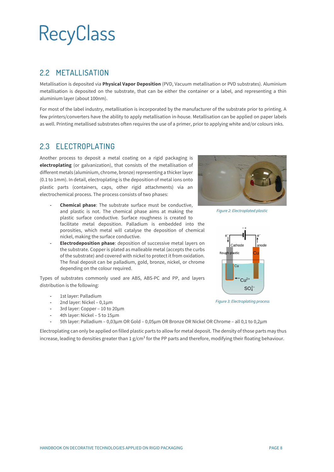#### <span id="page-7-0"></span>2.2 METALLISATION

Metallisation is deposited via **Physical Vapor Deposition** (PVD, Vacuum metallisation or PVD substrates). Aluminium metallisation is deposited on the substrate, that can be either the container or a label, and representing a thin aluminium layer (about 100nm).

For most of the label industry, metallisation is incorporated by the manufacturer of the substrate prior to printing. A few printers/converters have the ability to apply metallisation in-house. Metallisation can be applied on paper labels as well. Printing metallised substrates often requires the use of a primer, prior to applying white and/or colours inks.

#### <span id="page-7-1"></span>2.3 ELECTROPLATING

Another process to deposit a metal coating on a rigid packaging is **electroplating** (or galvanization), that consists of the metallisation of different metals (aluminium, chrome, bronze) representing a thicker layer (0.1 to 1mm). In detail, electroplating is the deposition of metal ions onto plastic parts (containers, caps, other rigid attachments) via an electrochemical process. The process consists of two phases:

- **- Chemical phase**: The substrate surface must be conductive, and plastic is not. The chemical phase aims at making the plastic surface conductive. Surface roughness is created to facilitate metal deposition. Palladium is embedded into the porosities, which metal will catalyse the deposition of chemical nickel, making the surface conductive.
- **- Electrodeposition phase**: deposition of successive metal layers on the substrate. Copper is plated as malleable metal (accepts the curbs of the substrate) and covered with nickel to protect it from oxidation. The final deposit can be palladium, gold, bronze, nickel, or chrome depending on the colour required.

Types of substrates commonly used are ABS, ABS-PC and PP, and layers distribution is the following:

- **-** 1st layer: Palladium
- **-** 2nd layer: Nickel 0,1µm
- **-** 3rd layer: Copper 10 to 20µm
- **-** 4th layer: Nickel 5 to 15µm
- **-** 5th layer: Palladium 0,03µm OR Gold 0,05µm OR Bronze OR Nickel OR Chrome all 0,1 to 0,2µm

Electroplating can only be applied on filled plastic parts to allow for metal deposit. The density of those parts may thus increase, leading to densities greater than 1  $g/cm<sup>3</sup>$  for the PP parts and therefore, modifying their floating behaviour.



*Figure 2: Electroplated plastic*



*Figure 3: Electroplating process*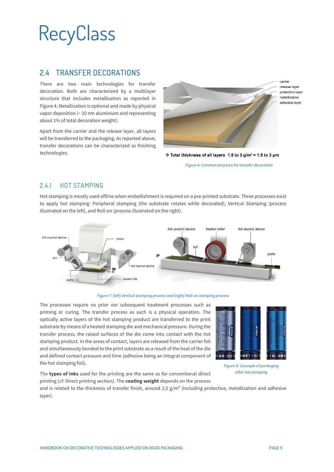#### <span id="page-8-0"></span>2.4 TRANSFER DECORATIONS

There are two main technologies for transfer decoration. Both are characterized by a multilayer structure that includes metallisation as reported in Figure 4. Metallisation is optional and made by physical vapor deposition (~ 10 nm aluminium and representing about 1% of total decoration weight).

Apart from the carrier and the release layer, all layers will be transferred to the packaging. As reported above, transfer decorations can be characterized as finishing technologies.



carrier release laver protective layer metallization adhesive layer

 $\rightarrow$  Total thickness of all layers 1.5 to 3 g/m<sup>2</sup>  $\approx$  1.5 to 3 µm

*Figure 4: Common structure for transfer decoration*

#### <span id="page-8-1"></span>2.4.1 HOT STAMPING

Hot stamping is mostly used offline when embellishment is required on a pre-printed substrate. Three processes exist to apply hot stamping: Peripheral stamping (the substrate rotates while decorated), Vertical Stamping (process illustrated on the left), and Roll-on (process illustrated on the right).



*Figure 7: (left) Vertical stamping process and (right) Roll-on stamping process*

The processes require no prior nor subsequent treatment processes such as priming or curing. The transfer process as such is a physical operation. The optically active layers of the hot stamping product are transferred to the print substrate by means of a heated stamping die and mechanical pressure. During the transfer process, the raised surfaces of the die come into contact with the hot stamping product. In the areas of contact, layers are released from the carrier foil and simultaneously bonded to the print substrate as a result of the heat of the die and defined contact pressure and time (adhesive being an integral component of the hot stamping foil).



*Figure 8: Example of packaging after hot stamping*

The **types of inks** used for the printing are the same as for conventional direct printing (*cf*: Direct printing section). The **coating weight** depends on the process

and is related to the thickness of transfer finish, around 2,5  $g/m^2$  (including protective, metallization and adhesive layer).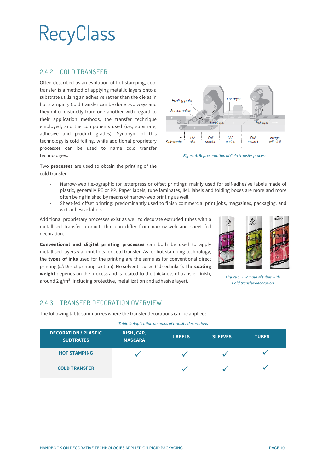#### <span id="page-9-0"></span>2.4.2 COLD TRANSFER

Often described as an evolution of hot stamping, cold transfer is a method of applying metallic layers onto a substrate utilizing an adhesive rather than the die as in hot stamping. Cold transfer can be done two ways and they differ distinctly from one another with regard to their application methods, the transfer technique employed, and the components used (i.e., substrate, adhesive and product grades). Synonym of this technology is cold foiling, while additional proprietary processes can be used to name cold transfer technologies.



*Figure 5: Representation of Cold transfer process*

Two **processes** are used to obtain the printing of the cold transfer:

- **-** Narrow-web flexographic (or letterpress or offset printing): mainly used for self-adhesive labels made of plastic, generally PE or PP. Paper labels, tube laminates, IML labels and folding boxes are more and more often being finished by means of narrow-web printing as well.
- **-** Sheet-fed offset printing: predominantly used to finish commercial print jobs, magazines, packaging, and wet-adhesive labels.

Additional proprietary processes exist as well to decorate extruded tubes with a metallised transfer product, that can differ from narrow-web and sheet fed decoration.

**Conventional and digital printing processes** can both be used to apply metallised layers via print foils for cold transfer. As for hot stamping technology, the **types of inks** used for the printing are the same as for conventional direct printing (*cf*: Direct printing section). No solvent is used ("dried inks"). The **coating weight** depends on the process and is related to the thickness of transfer finish, around 2 g/m² (including protective, metallization and adhesive layer).



*Figure 6: Example of tubes with Cold transfer decoration*

#### <span id="page-9-1"></span>2.4.3 TRANSFER DECORATION OVERVIEW

The following table summarizes where the transfer decorations can be applied:

*Table 3: Application domains of transfer decorations*

| <b>DECORATION / PLASTIC</b><br><b>SUBTRATES</b> | DISH, CAP,<br><b>MASCARA</b> | <b>LABELS</b> | <b>SLEEVES</b> | <b>TUBES</b> |
|-------------------------------------------------|------------------------------|---------------|----------------|--------------|
| <b>HOT STAMPING</b>                             |                              |               |                |              |
| <b>COLD TRANSFER</b>                            |                              |               |                |              |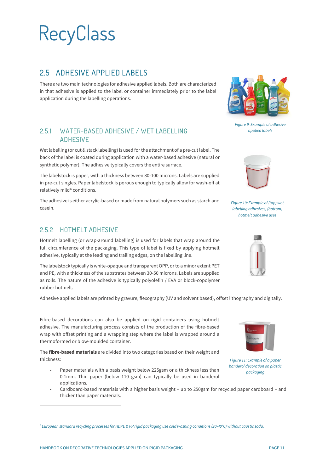### <span id="page-10-0"></span>2.5 ADHESIVE APPLIED LABELS

There are two main technologies for adhesive applied labels. Both are characterized in that adhesive is applied to the label or container immediately prior to the label application during the labelling operations.

#### <span id="page-10-1"></span>2.5.1 WATER-BASED ADHESIVE / WET LABELLING ADHESIVE

Wet labelling (or cut & stack labelling) is used for the attachment of a pre-cut label. The back of the label is coated during application with a water-based adhesive (natural or synthetic polymer). The adhesive typically covers the entire surface.

The labelstock is paper, with a thickness between 80-100 microns. Labels are supplied in pre-cut singles. Paper labelstock is porous enough to typically allow for wash-off at relatively mild<sup>[6](#page-10-3)</sup> conditions.

The adhesive is either acrylic-based or made from natural polymers such as starch and casein.

#### <span id="page-10-2"></span>2.5.2 HOTMELT ADHESIVE

Hotmelt labelling (or wrap-around labelling) is used for labels that wrap around the full circumference of the packaging. This type of label is fixed by applying hotmelt adhesive, typically at the leading and trailing edges, on the labelling line.

The labelstock typically is white-opaque and transparent OPP, or to a minor extent PET and PE, with a thickness of the substrates between 30-50 microns. Labels are supplied as rolls. The nature of the adhesive is typically polyolefin / EVA or block-copolymer rubber hotmelt.

Adhesive applied labels are printed by gravure, flexography (UV and solvent based), offset lithography and digitally.

Fibre-based decorations can also be applied on rigid containers using hotmelt adhesive. The manufacturing process consists of the production of the fibre-based wrap with offset printing and a wrapping step where the label is wrapped around a thermoformed or blow-moulded container.

The **fibre-based materials** are divided into two categories based on their weight and thickness:

- **-** Paper materials with a basis weight below 225gsm or a thickness less than 0.1mm. Thin paper (below 110 gsm) can typically be used in banderol applications.
- **-** Cardboard-based materials with a higher basis weight up to 250gsm for recycled paper cardboard and thicker than paper materials.



*Figure 9: Example of adhesive applied labels*



*Figure 10: Example of (top) wet labelling adhesives, (bottom) hotmelt adhesive uses*





*Figure 11: Example of a paper banderol decoration on plastic packaging*

<span id="page-10-3"></span>*<sup>6</sup> European standard recycling processes for HDPE & PP rigid packaging use cold washing conditions (20-40°C) without caustic soda.*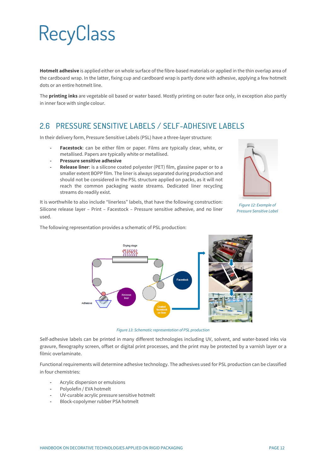**Hotmelt adhesive** is applied either on whole surface of the fibre-based materials or applied in the thin overlap area of the cardboard wrap. In the latter, fixing cup and cardboard wrap is partly done with adhesive, applying a few hotmelt dots or an entire hotmelt line.

The **printing inks** are vegetable oil based or water based. Mostly printing on outer face only, in exception also partly in inner face with single colour.

### <span id="page-11-0"></span>2.6 PRESSURE SENSITIVE LABELS / SELF-ADHESIVE LABELS

In their delivery form, Pressure Sensitive Labels (PSL) have a three-layer structure:

- **- Facestock**: can be either film or paper. Films are typically clear, white, or metallised. Papers are typically white or metallised.
- **- Pressure sensitive adhesive**
- **- Release liner**: is a silicone coated polyester (PET) film, glassine paper or to a smaller extent BOPP film. The liner is always separated during production and should not be considered in the PSL structure applied on packs, as it will not reach the common packaging waste streams. Dedicated liner recycling streams do readily exist.

It is worthwhile to also include "linerless" labels, that have the following construction: Silicone release layer – Print – Facestock – Pressure sensitive adhesive, and no liner used.



*Figure 12: Example of Pressure Sensitive Label*

The following representation provides a schematic of PSL production:



*Figure 13: Schematic representation of PSL production*

Self-adhesive labels can be printed in many different technologies including UV, solvent, and water-based inks via gravure, flexography screen, offset or digital print processes, and the print may be protected by a varnish layer or a filmic overlaminate.

Functional requirements will determine adhesive technology. The adhesives used for PSL production can be classified in four chemistries:

- **-** Acrylic dispersion or emulsions
- **-** Polyolefin / EVA hotmelt
- **-** UV-curable acrylic pressure sensitive hotmelt
- **-** Block-copolymer rubber PSA hotmelt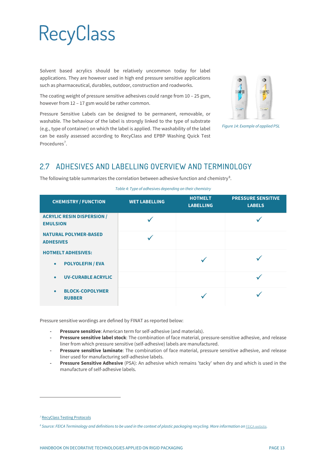Solvent based acrylics should be relatively uncommon today for label applications. They are however used in high end pressure sensitive applications such as pharmaceutical, durables, outdoor, construction and roadworks.

The coating weight of pressure sensitive adhesives could range from 10 – 25 gsm, however from 12 – 17 gsm would be rather common.

Pressure Sensitive Labels can be designed to be permanent, removable, or washable. The behaviour of the label is strongly linked to the type of substrate (e.g., type of container) on which the label is applied. The washability of the label can be easily assessed according to RecyClass and EPBP Washing Quick Test Procedures<sup>[7](#page-12-1)</sup>.



*Figure 14: Example of applied PSL*

### <span id="page-12-0"></span>2.7 ADHESIVES AND LABELLING OVERVIEW AND TERMINOLOGY

The following table summarizes the correlation between adhesive function and chemistry $^8$  $^8$ .

| <b>CHEMISTRY / FUNCTION</b>                          | <b>WET LABELLING</b> | <b>HOTMELT</b><br><b>LABELLING</b> | <b>PRESSURE SENSITIVE</b><br><b>LABELS</b> |
|------------------------------------------------------|----------------------|------------------------------------|--------------------------------------------|
| <b>ACRYLIC RESIN DISPERSION /</b><br><b>EMULSION</b> |                      |                                    |                                            |
| <b>NATURAL POLYMER-BASED</b><br><b>ADHESIVES</b>     |                      |                                    |                                            |
| <b>HOTMELT ADHESIVES:</b>                            |                      |                                    |                                            |
| <b>POLYOLEFIN / EVA</b><br>$\bullet$                 |                      |                                    |                                            |
| <b>UV-CURABLE ACRYLIC</b><br>$\bullet$               |                      |                                    |                                            |
| <b>BLOCK-COPOLYMER</b><br>$\bullet$<br><b>RUBBER</b> |                      |                                    |                                            |

Pressure sensitive wordings are defined by FINAT as reported below:

- **- Pressure sensitive**: American term for self-adhesive (and materials).
- **- Pressure sensitive label stock**: The combination of face material, pressure-sensitive adhesive, and release liner from which pressure sensitive (self-adhesive) labels are manufactured.
- **- Pressure sensitive laminate**: The combination of face material, pressure sensitive adhesive, and release liner used for manufacturing self-adhesive labels.
- **- Pressure Sensitive Adhesive** (PSA): An adhesive which remains 'tacky' when dry and which is used in the manufacture of self-adhesive labels.

<span id="page-12-1"></span>*<sup>7</sup>* [RecyClass Testing Protocols](https://recyclass.eu/recyclability/test-methods/)

<span id="page-12-2"></span>*<sup>8</sup> Source: FEICA Terminology and definitions to be used in the context of plastic packaging recycling. More information on* [FEICA website](https://www.feica.eu/)*.*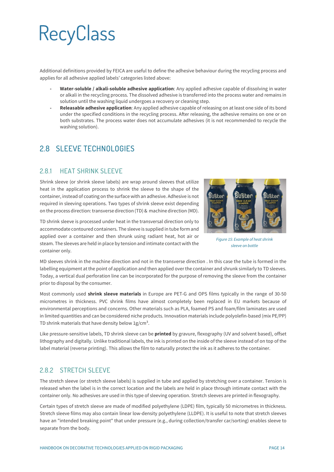Additional definitions provided by FEICA are useful to define the adhesive behaviour during the recycling process and applies for all adhesive applied labels' categories listed above:

- **- Water-soluble / alkali-soluble adhesive application**: Any applied adhesive capable of dissolving in water or alkali in the recycling process. The dissolved adhesive is transferred into the process water and remains in solution until the washing liquid undergoes a recovery or cleaning step.
- **- Releasable adhesive application**: Any applied adhesive capable of releasing on at least one side of its bond under the specified conditions in the recycling process. After releasing, the adhesive remains on one or on both substrates. The process water does not accumulate adhesives (it is not recommended to recycle the washing solution).

### <span id="page-13-0"></span>2.8 SLEEVE TECHNOLOGIES

#### <span id="page-13-1"></span>2.8.1 HEAT SHRINK SLEEVE

Shrink sleeve (or shrink sleeve labels) are wrap around sleeves that utilize heat in the application process to shrink the sleeve to the shape of the container, instead of coating on the surface with an adhesive. Adhesive is not required in sleeving operations. Two types of shrink sleeve exist depending on the process direction: transverse direction (TD) & machine direction (MD).



*Figure 15: Example of heat shrink sleeve on bottle*

TD shrink sleeve is processed under heat in the transversal direction only to accommodate contoured containers. The sleeve is supplied in tube form and applied over a container and then shrunk using radiant heat, hot air or steam. The sleeves are held in place by tension and intimate contact with the container only.

MD sleeves shrink in the machine direction and not in the transverse direction . In this case the tube is formed in the labelling equipment at the point of application and then applied over the container and shrunk similarly to TD sleeves. Today, a vertical dual perforation line can be incorporated for the purpose of removing the sleeve from the container prior to disposal by the consumer.

Most commonly used **shrink sleeve materials** in Europe are PET-G and OPS films typically in the range of 30-50 micrometres in thickness. PVC shrink films have almost completely been replaced in EU markets because of environmental perceptions and concerns. Other materials such as PLA, foamed PS and foam/film laminates are used in limited quantities and can be considered niche products. Innovation materials include polyolefin-based (mix PE/PP) TD shrink materials that have density below  $1g/cm<sup>3</sup>$ .

Like pressure-sensitive labels, TD shrink sleeve can be **printed** by gravure, flexography (UV and solvent based), offset lithography and digitally. Unlike traditional labels, the ink is printed on the inside of the sleeve instead of on top of the label material (reverse printing). This allows the film to naturally protect the ink as it adheres to the container.

#### <span id="page-13-2"></span>2.8.2 STRETCH SLEEVE

The stretch sleeve (or stretch sleeve labels) is supplied in tube and applied by stretching over a container. Tension is released when the label is in the correct location and the labels are held in place through intimate contact with the container only. No adhesives are used in this type of sleeving operation. Stretch sleeves are printed in flexography.

Certain types of stretch sleeve are made of modified polyethylene (LDPE) film, typically 50 micrometres in thickness. Stretch sleeve films may also contain linear low-density polyethylene (LLDPE). It is useful to note that stretch sleeves have an "intended breaking point" that under pressure (e.g., during collection/transfer car/sorting) enables sleeve to separate from the body.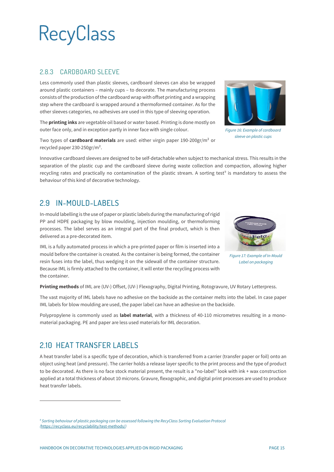#### <span id="page-14-0"></span>2.8.3 CARDBOARD SLEEVE

Less commonly used than plastic sleeves, cardboard sleeves can also be wrapped around plastic containers – mainly cups – to decorate. The manufacturing process consists of the production of the cardboard wrap with offset printing and a wrapping step where the cardboard is wrapped around a thermoformed container. As for the other sleeves categories, no adhesives are used in this type of sleeving operation.

The **printing inks** are vegetable oil based or water based. Printing is done mostly on outer face only, and in exception partly in inner face with single colour.

Two types of **cardboard materials** are used: either virgin paper 190-200gr/m² or recycled paper 230-250gr/m².

Innovative cardboard sleeves are designed to be self-detachable when subject to mechanical stress. This results in the separation of the plastic cup and the cardboard sleeve during waste collection and compaction, allowing higher recycling rates and practically no contamination of the plastic stream. A sorting test<sup>[9](#page-14-3)</sup> is mandatory to assess the behaviour of this kind of decorative technology.

### <span id="page-14-1"></span>2.9 IN-MOULD-LABELS

In-mould labelling is the use of paper or plastic labels during the manufacturing of rigid PP and HDPE packaging by blow moulding, injection moulding, or thermoforming processes. The label serves as an integral part of the final product, which is then delivered as a pre-decorated item.

IML is a fully automated process in which a pre-printed paper or film is inserted into a mould before the container is created. As the container is being formed, the container resin fuses into the label, thus wedging it on the sidewall of the container structure. Because IML is firmly attached to the container, it will enter the recycling process with the container.

**Printing methods** of IML are (UV-) Offset, (UV-) Flexography, Digital Printing, Rotogravure, UV Rotary Letterpress.

The vast majority of IML labels have no adhesive on the backside as the container melts into the label. In case paper IML labels for blow moulding are used, the paper label can have an adhesive on the backside.

Polypropylene is commonly used as **label material**, with a thickness of 40-110 micrometres resulting in a monomaterial packaging. PE and paper are less used materials for IML decoration.

### <span id="page-14-2"></span>2.10 HEAT TRANSFER LABELS

A heat transfer label is a specific type of decoration, which is transferred from a carrier (transfer paper or foil) onto an object using heat (and pressure). The carrier holds a release layer specific to the print process and the type of product to be decorated. As there is no face stock material present, the result is a "no-label" look with ink + wax construction applied at a total thickness of about 10 microns. Gravure, flexographic, and digital print processes are used to produce heat transfer labels.



*Figure 16: Example of cardboard sleeve on plastic cups*



*Figure 17: Example of In-Mould Label on packaging*

<span id="page-14-3"></span>*<sup>9</sup> Sorting behaviour of plastic packaging can be assessed following the RecyClass Sorting Evaluation Protocol (*<https://recyclass.eu/recyclability/test-methods/>*)*